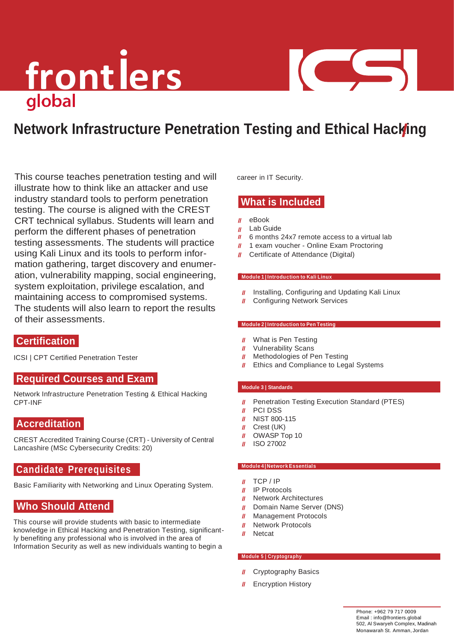## front lers

### COL COM

### **Network Infrastructure Penetration Testing and Ethical Hacking**

This course teaches penetration testing and will illustrate how to think like an attacker and use industry standard tools to perform penetration testing. The course is aligned with the CREST CRT technical syllabus. Students will learn and perform the different phases of penetration testing assessments. The students will practice using Kali Linux and its tools to perform information gathering, target discovery and enumeration, vulnerability mapping, social engineering, system exploitation, privilege escalation, and maintaining access to compromised systems. The students will also learn to report the results of their assessments.

#### **Certification**

ICSI | CPT Certified Penetration Tester

#### **Required Courses and Exam**

Network Infrastructure Penetration Testing & Ethical Hacking CPT-INF

#### **Accreditation**

CREST Accredited Training Course (CRT) - University of Central Lancashire (MSc Cybersecurity Credits: 20)

#### **Candidate Prerequisites**

Basic Familiarity with Networking and Linux Operating System.

#### **Who Should Attend**

This course will provide students with basic to intermediate knowledge in Ethical Hacking and Penetration Testing, significantly benefiting any professional who is involved in the area of Information Security as well as new individuals wanting to begin a

career in IT Security.

#### **What is Included**

- $\mathbf{u}$ eBook
- $\mathbf{u}$ Lab Guide
- $\mathbf{u}$ 6 months 24x7 remote access to a virtual lab
- $\mathbf{u}$ 1 exam voucher - Online Exam Proctoring
- Certificate of Attendance (Digital)

#### **Module 1 | Introduction to Kali Linux**

- Installing, Configuring and Updating Kali Linux  $\mathbf{u}$
- Configuring Network Services  $\mathbf{u}$

#### **Module 2 | Introduction to Pen Testing**

- What is Pen Testing  $\mathbf{u}$
- Vulnerability Scans  $\mathbf{u}$
- Methodologies of Pen Testing  $\mathbf{u}$
- Ethics and Compliance to Legal Systems  $\mathbf{u}$

#### **Module 3 | Standards**

- Penetration Testing Execution Standard (PTES)  $\mathbf{u}$
- PCI DSS  $\mathbf{u}$
- NIST 800-115  $\mathbf{u}$
- Crest (UK)  $\mathbf{u}$
- OWASP Top 10  $\mathbf{u}$
- $\mathbf{u}$ ISO 27002

#### **Module 4 | Network Essentials**

- $II$  TCP / IP
- IP Protocols
- $\mathbf{u}$ Network Architectures
- $\mathbf{u}$ Domain Name Server (DNS)
- Management Protocols  $\mathbf{u}$
- Network Protocols  $\boldsymbol{H}$
- **Netcat**  $\mathbf{u}$

#### **Module 5 | Cryptography**

- **II** Cryptography Basics
- **II** Encryption History